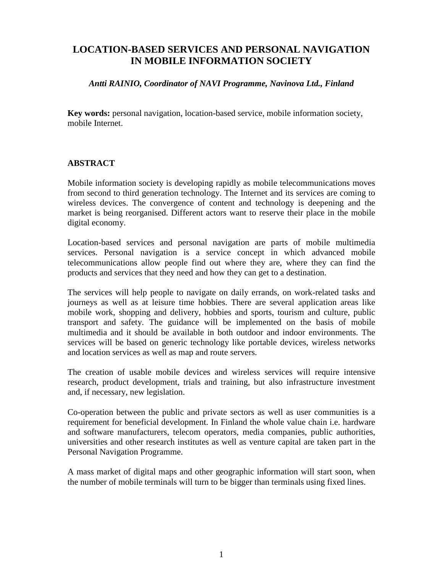# **LOCATION-BASED SERVICES AND PERSONAL NAVIGATION IN MOBILE INFORMATION SOCIETY**

#### *Antti RAINIO, Coordinator of NAVI Programme, Navinova Ltd., Finland*

**Key words:** personal navigation, location-based service, mobile information society, mobile Internet.

## **ABSTRACT**

Mobile information society is developing rapidly as mobile telecommunications moves from second to third generation technology. The Internet and its services are coming to wireless devices. The convergence of content and technology is deepening and the market is being reorganised. Different actors want to reserve their place in the mobile digital economy.

Location-based services and personal navigation are parts of mobile multimedia services. Personal navigation is a service concept in which advanced mobile telecommunications allow people find out where they are, where they can find the products and services that they need and how they can get to a destination.

The services will help people to navigate on daily errands, on work-related tasks and journeys as well as at leisure time hobbies. There are several application areas like mobile work, shopping and delivery, hobbies and sports, tourism and culture, public transport and safety. The guidance will be implemented on the basis of mobile multimedia and it should be available in both outdoor and indoor environments. The services will be based on generic technology like portable devices, wireless networks and location services as well as map and route servers.

The creation of usable mobile devices and wireless services will require intensive research, product development, trials and training, but also infrastructure investment and, if necessary, new legislation.

Co-operation between the public and private sectors as well as user communities is a requirement for beneficial development. In Finland the whole value chain i.e. hardware and software manufacturers, telecom operators, media companies, public authorities, universities and other research institutes as well as venture capital are taken part in the Personal Navigation Programme.

A mass market of digital maps and other geographic information will start soon, when the number of mobile terminals will turn to be bigger than terminals using fixed lines.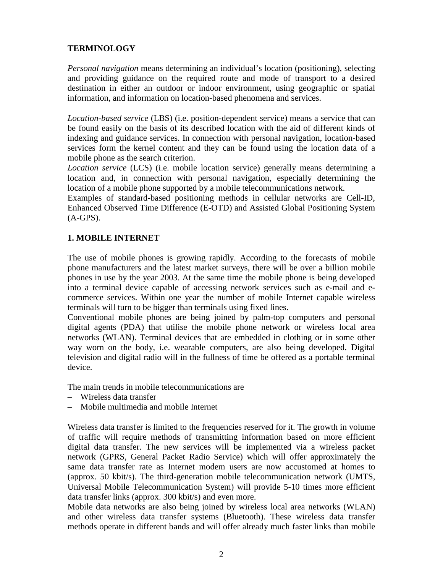## **TERMINOLOGY**

*Personal navigation* means determining an individual's location (positioning), selecting and providing guidance on the required route and mode of transport to a desired destination in either an outdoor or indoor environment, using geographic or spatial information, and information on location-based phenomena and services.

*Location-based service* (LBS) (i.e. position-dependent service) means a service that can be found easily on the basis of its described location with the aid of different kinds of indexing and guidance services. In connection with personal navigation, location-based services form the kernel content and they can be found using the location data of a mobile phone as the search criterion.

*Location service* (LCS) (i.e. mobile location service) generally means determining a location and, in connection with personal navigation, especially determining the location of a mobile phone supported by a mobile telecommunications network.

Examples of standard-based positioning methods in cellular networks are Cell-ID, Enhanced Observed Time Difference (E-OTD) and Assisted Global Positioning System (A-GPS).

## **1. MOBILE INTERNET**

The use of mobile phones is growing rapidly. According to the forecasts of mobile phone manufacturers and the latest market surveys, there will be over a billion mobile phones in use by the year 2003. At the same time the mobile phone is being developed into a terminal device capable of accessing network services such as e-mail and ecommerce services. Within one year the number of mobile Internet capable wireless terminals will turn to be bigger than terminals using fixed lines.

Conventional mobile phones are being joined by palm-top computers and personal digital agents (PDA) that utilise the mobile phone network or wireless local area networks (WLAN). Terminal devices that are embedded in clothing or in some other way worn on the body, i.e. wearable computers, are also being developed. Digital television and digital radio will in the fullness of time be offered as a portable terminal device.

The main trends in mobile telecommunications are

- Wireless data transfer
- Mobile multimedia and mobile Internet

Wireless data transfer is limited to the frequencies reserved for it. The growth in volume of traffic will require methods of transmitting information based on more efficient digital data transfer. The new services will be implemented via a wireless packet network (GPRS, General Packet Radio Service) which will offer approximately the same data transfer rate as Internet modem users are now accustomed at homes to (approx. 50 kbit/s). The third-generation mobile telecommunication network (UMTS, Universal Mobile Telecommunication System) will provide 5-10 times more efficient data transfer links (approx. 300 kbit/s) and even more.

Mobile data networks are also being joined by wireless local area networks (WLAN) and other wireless data transfer systems (Bluetooth). These wireless data transfer methods operate in different bands and will offer already much faster links than mobile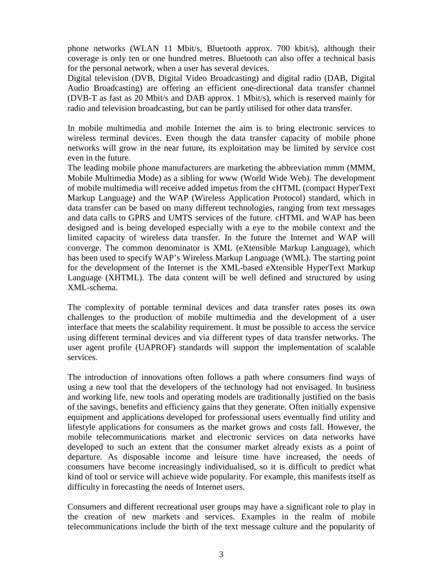phone networks (WLAN 11 Mbit/s, Bluetooth approx. 700 kbit/s), although their coverage is only ten or one hundred metres. Bluetooth can also offer a technical basis for the personal network, when a user has several devices.

Digital television (DVB, Digital Video Broadcasting) and digital radio (DAB, Digital Audio Broadcasting) are offering an efficient one-directional data transfer channel (DVB-T as fast as 20 Mbit/s and DAB approx. 1 Mbit/s), which is reserved mainly for radio and television broadcasting, but can be partly utilised for other data transfer.

In mobile multimedia and mobile Internet the aim is to bring electronic services to wireless terminal devices. Even though the data transfer capacity of mobile phone networks will grow in the near future, its exploitation may be limited by service cost even in the future.

The leading mobile phone manufacturers are marketing the abbreviation mmm (MMM, Mobile Multimedia Mode) as a sibling for www (World Wide Web). The development of mobile multimedia will receive added impetus from the cHTML (compact HyperText Markup Language) and the WAP (Wireless Application Protocol) standard, which in data transfer can be based on many different technologies, ranging from text messages and data calls to GPRS and UMTS services of the future. cHTML and WAP has been designed and is being developed especially with a eye to the mobile context and the limited capacity of wireless data transfer. In the future the Internet and WAP will converge. The common denominator is XML (eXtensible Markup Language), which has been used to specify WAP's Wireless Markup Language (WML). The starting point for the development of the Internet is the XML-based eXtensible HyperText Markup Language (XHTML). The data content will be well defined and structured by using XML-schema.

The complexity of portable terminal devices and data transfer rates poses its own challenges to the production of mobile multimedia and the development of a user interface that meets the scalability requirement. It must be possible to access the service using different terminal devices and via different types of data transfer networks. The user agent profile (UAPROF) standards will support the implementation of scalable services.

The introduction of innovations often follows a path where consumers find ways of using a new tool that the developers of the technology had not envisaged. In business and working life, new tools and operating models are traditionally justified on the basis of the savings, benefits and efficiency gains that they generate. Often initially expensive equipment and applications developed for professional users eventually find utility and lifestyle applications for consumers as the market grows and costs fall. However, the mobile telecommunications market and electronic services on data networks have developed to such an extent that the consumer market already exists as a point of departure. As disposable income and leisure time have increased, the needs of consumers have become increasingly individualised, so it is difficult to predict what kind of tool or service will achieve wide popularity. For example, this manifests itself as difficulty in forecasting the needs of Internet users.

Consumers and different recreational user groups may have a significant role to play in the creation of new markets and services. Examples in the realm of mobile telecommunications include the birth of the text message culture and the popularity of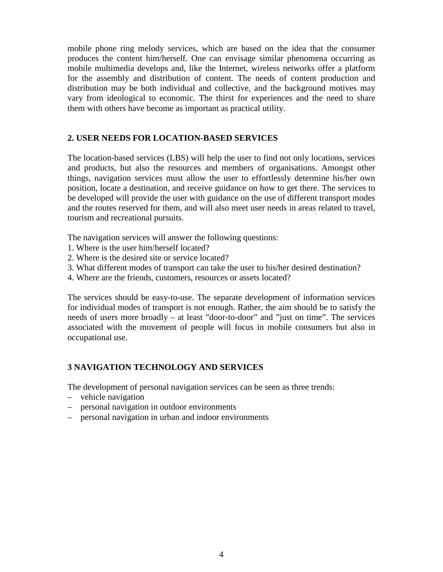mobile phone ring melody services, which are based on the idea that the consumer produces the content him/herself. One can envisage similar phenomena occurring as mobile multimedia develops and, like the Internet, wireless networks offer a platform for the assembly and distribution of content. The needs of content production and distribution may be both individual and collective, and the background motives may vary from ideological to economic. The thirst for experiences and the need to share them with others have become as important as practical utility.

## **2. USER NEEDS FOR LOCATION-BASED SERVICES**

The location-based services (LBS) will help the user to find not only locations, services and products, but also the resources and members of organisations. Amongst other things, navigation services must allow the user to effortlessly determine his/her own position, locate a destination, and receive guidance on how to get there. The services to be developed will provide the user with guidance on the use of different transport modes and the routes reserved for them, and will also meet user needs in areas related to travel, tourism and recreational pursuits.

The navigation services will answer the following questions:

- 1. Where is the user him/herself located?
- 2. Where is the desired site or service located?
- 3. What different modes of transport can take the user to his/her desired destination?
- 4. Where are the friends, customers, resources or assets located?

The services should be easy-to-use. The separate development of information services for individual modes of transport is not enough. Rather, the aim should be to satisfy the needs of users more broadly – at least "door-to-door" and "just on time". The services associated with the movement of people will focus in mobile consumers but also in occupational use.

## **3 NAVIGATION TECHNOLOGY AND SERVICES**

The development of personal navigation services can be seen as three trends:

- vehicle navigation
- personal navigation in outdoor environments
- personal navigation in urban and indoor environments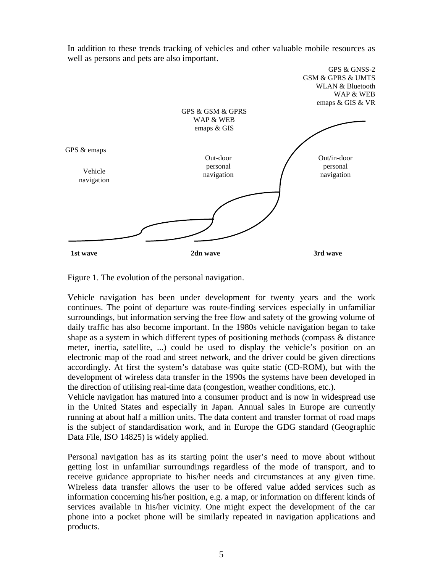

In addition to these trends tracking of vehicles and other valuable mobile resources as well as persons and pets are also important.

Figure 1. The evolution of the personal navigation.

Vehicle navigation has been under development for twenty years and the work continues. The point of departure was route-finding services especially in unfamiliar surroundings, but information serving the free flow and safety of the growing volume of daily traffic has also become important. In the 1980s vehicle navigation began to take shape as a system in which different types of positioning methods (compass & distance meter, inertia, satellite, ...) could be used to display the vehicle's position on an electronic map of the road and street network, and the driver could be given directions accordingly. At first the system's database was quite static (CD-ROM), but with the development of wireless data transfer in the 1990s the systems have been developed in the direction of utilising real-time data (congestion, weather conditions, etc.).

Vehicle navigation has matured into a consumer product and is now in widespread use in the United States and especially in Japan. Annual sales in Europe are currently running at about half a million units. The data content and transfer format of road maps is the subject of standardisation work, and in Europe the GDG standard (Geographic Data File, ISO 14825) is widely applied.

Personal navigation has as its starting point the user's need to move about without getting lost in unfamiliar surroundings regardless of the mode of transport, and to receive guidance appropriate to his/her needs and circumstances at any given time. Wireless data transfer allows the user to be offered value added services such as information concerning his/her position, e.g. a map, or information on different kinds of services available in his/her vicinity. One might expect the development of the car phone into a pocket phone will be similarly repeated in navigation applications and products.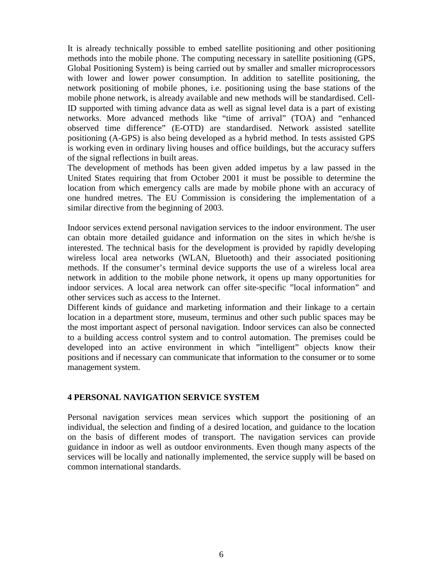It is already technically possible to embed satellite positioning and other positioning methods into the mobile phone. The computing necessary in satellite positioning (GPS, Global Positioning System) is being carried out by smaller and smaller microprocessors with lower and lower power consumption. In addition to satellite positioning, the network positioning of mobile phones, i.e. positioning using the base stations of the mobile phone network, is already available and new methods will be standardised. Cell-ID supported with timing advance data as well as signal level data is a part of existing networks. More advanced methods like "time of arrival" (TOA) and "enhanced observed time difference" (E-OTD) are standardised. Network assisted satellite positioning (A-GPS) is also being developed as a hybrid method. In tests assisted GPS is working even in ordinary living houses and office buildings, but the accuracy suffers of the signal reflections in built areas.

The development of methods has been given added impetus by a law passed in the United States requiring that from October 2001 it must be possible to determine the location from which emergency calls are made by mobile phone with an accuracy of one hundred metres. The EU Commission is considering the implementation of a similar directive from the beginning of 2003.

Indoor services extend personal navigation services to the indoor environment. The user can obtain more detailed guidance and information on the sites in which he/she is interested. The technical basis for the development is provided by rapidly developing wireless local area networks (WLAN, Bluetooth) and their associated positioning methods. If the consumer's terminal device supports the use of a wireless local area network in addition to the mobile phone network, it opens up many opportunities for indoor services. A local area network can offer site-specific "local information" and other services such as access to the Internet.

Different kinds of guidance and marketing information and their linkage to a certain location in a department store, museum, terminus and other such public spaces may be the most important aspect of personal navigation. Indoor services can also be connected to a building access control system and to control automation. The premises could be developed into an active environment in which "intelligent" objects know their positions and if necessary can communicate that information to the consumer or to some management system.

#### **4 PERSONAL NAVIGATION SERVICE SYSTEM**

Personal navigation services mean services which support the positioning of an individual, the selection and finding of a desired location, and guidance to the location on the basis of different modes of transport. The navigation services can provide guidance in indoor as well as outdoor environments. Even though many aspects of the services will be locally and nationally implemented, the service supply will be based on common international standards.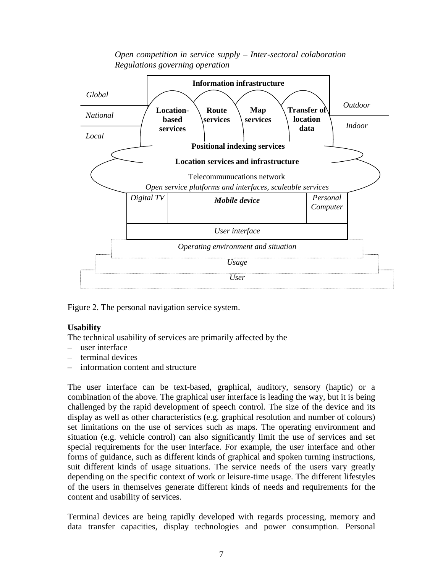

*Open competition in service supply – Inter-sectoral colaboration Regulations governing operation*

Figure 2. The personal navigation service system.

## **Usability**

The technical usability of services are primarily affected by the

- user interface
- terminal devices
- information content and structure

The user interface can be text-based, graphical, auditory, sensory (haptic) or a combination of the above. The graphical user interface is leading the way, but it is being challenged by the rapid development of speech control. The size of the device and its display as well as other characteristics (e.g. graphical resolution and number of colours) set limitations on the use of services such as maps. The operating environment and situation (e.g. vehicle control) can also significantly limit the use of services and set special requirements for the user interface. For example, the user interface and other forms of guidance, such as different kinds of graphical and spoken turning instructions, suit different kinds of usage situations. The service needs of the users vary greatly depending on the specific context of work or leisure-time usage. The different lifestyles of the users in themselves generate different kinds of needs and requirements for the content and usability of services.

Terminal devices are being rapidly developed with regards processing, memory and data transfer capacities, display technologies and power consumption. Personal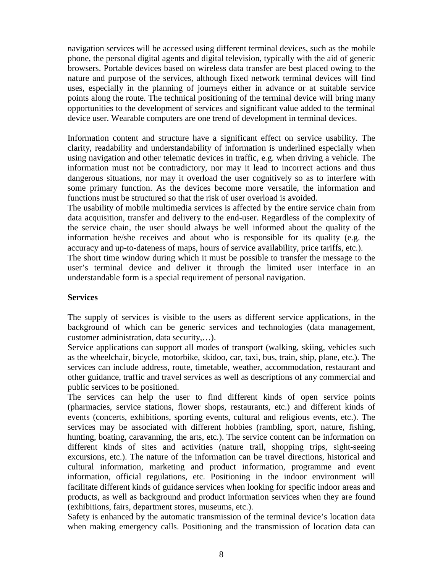navigation services will be accessed using different terminal devices, such as the mobile phone, the personal digital agents and digital television, typically with the aid of generic browsers. Portable devices based on wireless data transfer are best placed owing to the nature and purpose of the services, although fixed network terminal devices will find uses, especially in the planning of journeys either in advance or at suitable service points along the route. The technical positioning of the terminal device will bring many opportunities to the development of services and significant value added to the terminal device user. Wearable computers are one trend of development in terminal devices.

Information content and structure have a significant effect on service usability. The clarity, readability and understandability of information is underlined especially when using navigation and other telematic devices in traffic, e.g. when driving a vehicle. The information must not be contradictory, nor may it lead to incorrect actions and thus dangerous situations, nor may it overload the user cognitively so as to interfere with some primary function. As the devices become more versatile, the information and functions must be structured so that the risk of user overload is avoided.

The usability of mobile multimedia services is affected by the entire service chain from data acquisition, transfer and delivery to the end-user. Regardless of the complexity of the service chain, the user should always be well informed about the quality of the information he/she receives and about who is responsible for its quality (e.g. the accuracy and up-to-dateness of maps, hours of service availability, price tariffs, etc.).

The short time window during which it must be possible to transfer the message to the user's terminal device and deliver it through the limited user interface in an understandable form is a special requirement of personal navigation.

#### **Services**

The supply of services is visible to the users as different service applications, in the background of which can be generic services and technologies (data management, customer administration, data security,…).

Service applications can support all modes of transport (walking, skiing, vehicles such as the wheelchair, bicycle, motorbike, skidoo, car, taxi, bus, train, ship, plane, etc.). The services can include address, route, timetable, weather, accommodation, restaurant and other guidance, traffic and travel services as well as descriptions of any commercial and public services to be positioned.

The services can help the user to find different kinds of open service points (pharmacies, service stations, flower shops, restaurants, etc.) and different kinds of events (concerts, exhibitions, sporting events, cultural and religious events, etc.). The services may be associated with different hobbies (rambling, sport, nature, fishing, hunting, boating, caravanning, the arts, etc.). The service content can be information on different kinds of sites and activities (nature trail, shopping trips, sight-seeing excursions, etc.). The nature of the information can be travel directions, historical and cultural information, marketing and product information, programme and event information, official regulations, etc. Positioning in the indoor environment will facilitate different kinds of guidance services when looking for specific indoor areas and products, as well as background and product information services when they are found (exhibitions, fairs, department stores, museums, etc.).

Safety is enhanced by the automatic transmission of the terminal device's location data when making emergency calls. Positioning and the transmission of location data can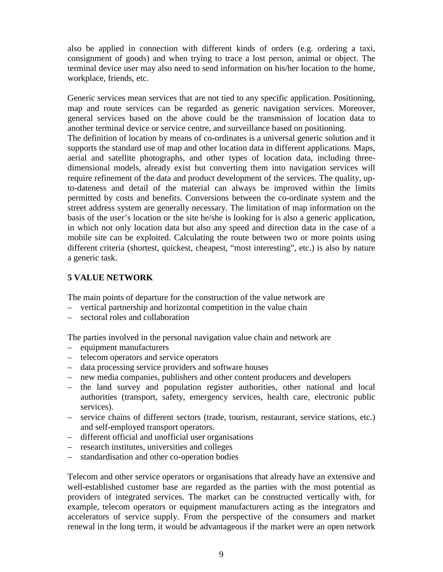also be applied in connection with different kinds of orders (e.g. ordering a taxi, consignment of goods) and when trying to trace a lost person, animal or object. The terminal device user may also need to send information on his/her location to the home, workplace, friends, etc.

Generic services mean services that are not tied to any specific application. Positioning, map and route services can be regarded as generic navigation services. Moreover, general services based on the above could be the transmission of location data to another terminal device or service centre, and surveillance based on positioning.

The definition of location by means of co-ordinates is a universal generic solution and it supports the standard use of map and other location data in different applications. Maps, aerial and satellite photographs, and other types of location data, including threedimensional models, already exist but converting them into navigation services will require refinement of the data and product development of the services. The quality, upto-dateness and detail of the material can always be improved within the limits permitted by costs and benefits. Conversions between the co-ordinate system and the street address system are generally necessary. The limitation of map information on the basis of the user's location or the site he/she is looking for is also a generic application, in which not only location data but also any speed and direction data in the case of a mobile site can be exploited. Calculating the route between two or more points using different criteria (shortest, quickest, cheapest, "most interesting", etc.) is also by nature a generic task.

## **5 VALUE NETWORK**

The main points of departure for the construction of the value network are

- vertical partnership and horizontal competition in the value chain
- sectoral roles and collaboration

The parties involved in the personal navigation value chain and network are

- equipment manufacturers
- telecom operators and service operators
- data processing service providers and software houses
- new media companies, publishers and other content producers and developers
- the land survey and population register authorities, other national and local authorities (transport, safety, emergency services, health care, electronic public services).
- service chains of different sectors (trade, tourism, restaurant, service stations, etc.) and self-employed transport operators.
- different official and unofficial user organisations
- research institutes, universities and colleges
- standardisation and other co-operation bodies

Telecom and other service operators or organisations that already have an extensive and well-established customer base are regarded as the parties with the most potential as providers of integrated services. The market can be constructed vertically with, for example, telecom operators or equipment manufacturers acting as the integrators and accelerators of service supply. From the perspective of the consumers and market renewal in the long term, it would be advantageous if the market were an open network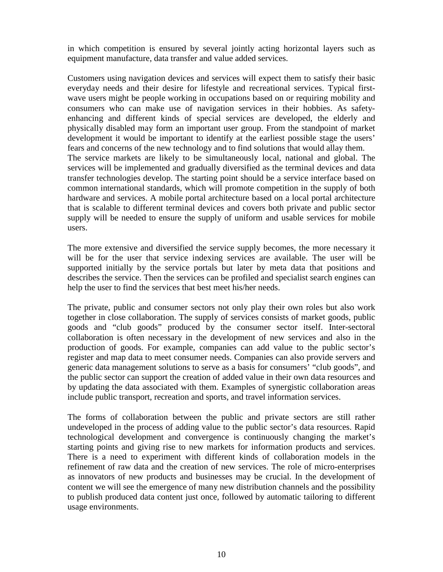in which competition is ensured by several jointly acting horizontal layers such as equipment manufacture, data transfer and value added services.

Customers using navigation devices and services will expect them to satisfy their basic everyday needs and their desire for lifestyle and recreational services. Typical firstwave users might be people working in occupations based on or requiring mobility and consumers who can make use of navigation services in their hobbies. As safetyenhancing and different kinds of special services are developed, the elderly and physically disabled may form an important user group. From the standpoint of market development it would be important to identify at the earliest possible stage the users' fears and concerns of the new technology and to find solutions that would allay them. The service markets are likely to be simultaneously local, national and global. The services will be implemented and gradually diversified as the terminal devices and data transfer technologies develop. The starting point should be a service interface based on common international standards, which will promote competition in the supply of both hardware and services. A mobile portal architecture based on a local portal architecture that is scalable to different terminal devices and covers both private and public sector supply will be needed to ensure the supply of uniform and usable services for mobile users.

The more extensive and diversified the service supply becomes, the more necessary it will be for the user that service indexing services are available. The user will be supported initially by the service portals but later by meta data that positions and describes the service. Then the services can be profiled and specialist search engines can help the user to find the services that best meet his/her needs.

The private, public and consumer sectors not only play their own roles but also work together in close collaboration. The supply of services consists of market goods, public goods and "club goods" produced by the consumer sector itself. Inter-sectoral collaboration is often necessary in the development of new services and also in the production of goods. For example, companies can add value to the public sector's register and map data to meet consumer needs. Companies can also provide servers and generic data management solutions to serve as a basis for consumers' "club goods", and the public sector can support the creation of added value in their own data resources and by updating the data associated with them. Examples of synergistic collaboration areas include public transport, recreation and sports, and travel information services.

The forms of collaboration between the public and private sectors are still rather undeveloped in the process of adding value to the public sector's data resources. Rapid technological development and convergence is continuously changing the market's starting points and giving rise to new markets for information products and services. There is a need to experiment with different kinds of collaboration models in the refinement of raw data and the creation of new services. The role of micro-enterprises as innovators of new products and businesses may be crucial. In the development of content we will see the emergence of many new distribution channels and the possibility to publish produced data content just once, followed by automatic tailoring to different usage environments.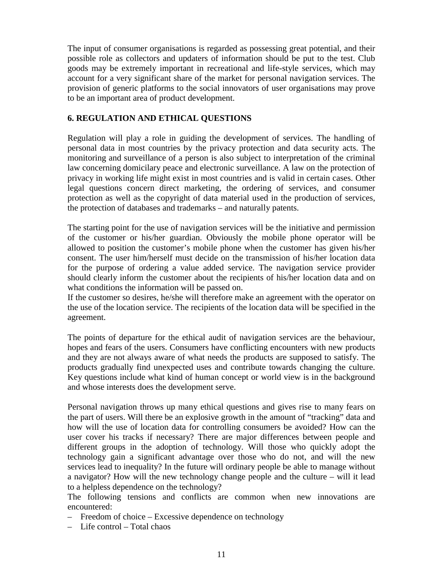The input of consumer organisations is regarded as possessing great potential, and their possible role as collectors and updaters of information should be put to the test. Club goods may be extremely important in recreational and life-style services, which may account for a very significant share of the market for personal navigation services. The provision of generic platforms to the social innovators of user organisations may prove to be an important area of product development.

## **6. REGULATION AND ETHICAL QUESTIONS**

Regulation will play a role in guiding the development of services. The handling of personal data in most countries by the privacy protection and data security acts. The monitoring and surveillance of a person is also subject to interpretation of the criminal law concerning domicilary peace and electronic surveillance. A law on the protection of privacy in working life might exist in most countries and is valid in certain cases. Other legal questions concern direct marketing, the ordering of services, and consumer protection as well as the copyright of data material used in the production of services, the protection of databases and trademarks – and naturally patents.

The starting point for the use of navigation services will be the initiative and permission of the customer or his/her guardian. Obviously the mobile phone operator will be allowed to position the customer's mobile phone when the customer has given his/her consent. The user him/herself must decide on the transmission of his/her location data for the purpose of ordering a value added service. The navigation service provider should clearly inform the customer about the recipients of his/her location data and on what conditions the information will be passed on.

If the customer so desires, he/she will therefore make an agreement with the operator on the use of the location service. The recipients of the location data will be specified in the agreement.

The points of departure for the ethical audit of navigation services are the behaviour, hopes and fears of the users. Consumers have conflicting encounters with new products and they are not always aware of what needs the products are supposed to satisfy. The products gradually find unexpected uses and contribute towards changing the culture. Key questions include what kind of human concept or world view is in the background and whose interests does the development serve.

Personal navigation throws up many ethical questions and gives rise to many fears on the part of users. Will there be an explosive growth in the amount of "tracking" data and how will the use of location data for controlling consumers be avoided? How can the user cover his tracks if necessary? There are major differences between people and different groups in the adoption of technology. Will those who quickly adopt the technology gain a significant advantage over those who do not, and will the new services lead to inequality? In the future will ordinary people be able to manage without a navigator? How will the new technology change people and the culture – will it lead to a helpless dependence on the technology?

The following tensions and conflicts are common when new innovations are encountered:

- Freedom of choice Excessive dependence on technology
- Life control Total chaos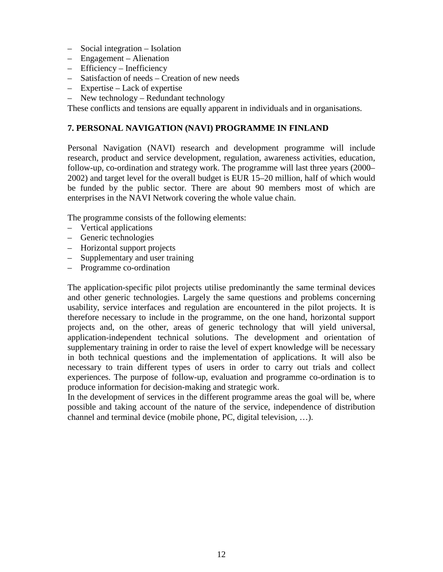- Social integration Isolation
- Engagement Alienation
- Efficiency Inefficiency
- Satisfaction of needs Creation of new needs
- Expertise Lack of expertise
- New technology Redundant technology

These conflicts and tensions are equally apparent in individuals and in organisations.

## **7. PERSONAL NAVIGATION (NAVI) PROGRAMME IN FINLAND**

Personal Navigation (NAVI) research and development programme will include research, product and service development, regulation, awareness activities, education, follow-up, co-ordination and strategy work. The programme will last three years (2000– 2002) and target level for the overall budget is EUR 15–20 million, half of which would be funded by the public sector. There are about 90 members most of which are enterprises in the NAVI Network covering the whole value chain.

The programme consists of the following elements:

- Vertical applications
- Generic technologies
- Horizontal support projects
- Supplementary and user training
- Programme co-ordination

The application-specific pilot projects utilise predominantly the same terminal devices and other generic technologies. Largely the same questions and problems concerning usability, service interfaces and regulation are encountered in the pilot projects. It is therefore necessary to include in the programme, on the one hand, horizontal support projects and, on the other, areas of generic technology that will yield universal, application-independent technical solutions. The development and orientation of supplementary training in order to raise the level of expert knowledge will be necessary in both technical questions and the implementation of applications. It will also be necessary to train different types of users in order to carry out trials and collect experiences. The purpose of follow-up, evaluation and programme co-ordination is to produce information for decision-making and strategic work.

In the development of services in the different programme areas the goal will be, where possible and taking account of the nature of the service, independence of distribution channel and terminal device (mobile phone, PC, digital television, …).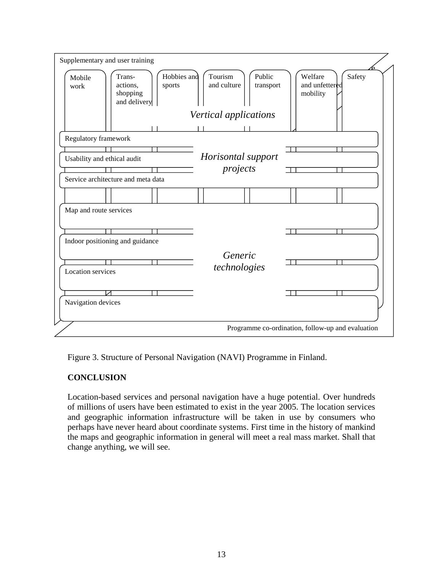

Figure 3. Structure of Personal Navigation (NAVI) Programme in Finland.

## **CONCLUSION**

Location-based services and personal navigation have a huge potential. Over hundreds of millions of users have been estimated to exist in the year 2005. The location services and geographic information infrastructure will be taken in use by consumers who perhaps have never heard about coordinate systems. First time in the history of mankind the maps and geographic information in general will meet a real mass market. Shall that change anything, we will see.